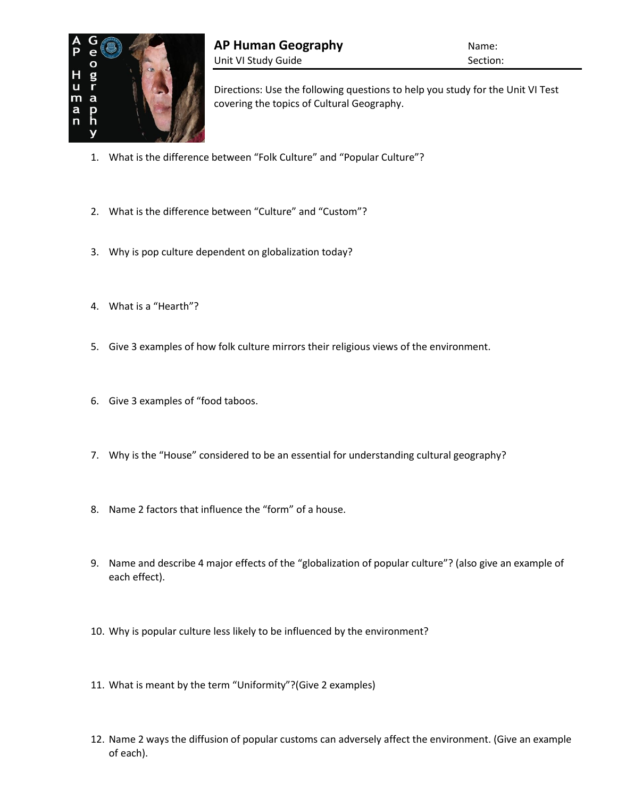

Directions: Use the following questions to help you study for the Unit VI Test covering the topics of Cultural Geography.

- 1. What is the difference between "Folk Culture" and "Popular Culture"?
- 2. What is the difference between "Culture" and "Custom"?
- 3. Why is pop culture dependent on globalization today?
- 4. What is a "Hearth"?
- 5. Give 3 examples of how folk culture mirrors their religious views of the environment.
- 6. Give 3 examples of "food taboos.
- 7. Why is the "House" considered to be an essential for understanding cultural geography?
- 8. Name 2 factors that influence the "form" of a house.
- 9. Name and describe 4 major effects of the "globalization of popular culture"? (also give an example of each effect).
- 10. Why is popular culture less likely to be influenced by the environment?
- 11. What is meant by the term "Uniformity"?(Give 2 examples)
- 12. Name 2 ways the diffusion of popular customs can adversely affect the environment. (Give an example of each).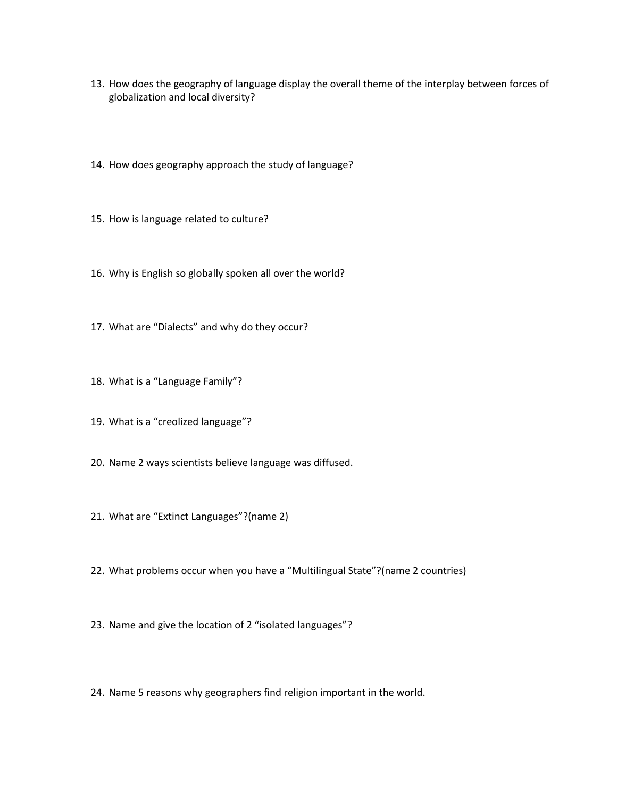- 13. How does the geography of language display the overall theme of the interplay between forces of globalization and local diversity?
- 14. How does geography approach the study of language?
- 15. How is language related to culture?
- 16. Why is English so globally spoken all over the world?
- 17. What are "Dialects" and why do they occur?
- 18. What is a "Language Family"?
- 19. What is a "creolized language"?
- 20. Name 2 ways scientists believe language was diffused.
- 21. What are "Extinct Languages"?(name 2)
- 22. What problems occur when you have a "Multilingual State"?(name 2 countries)
- 23. Name and give the location of 2 "isolated languages"?
- 24. Name 5 reasons why geographers find religion important in the world.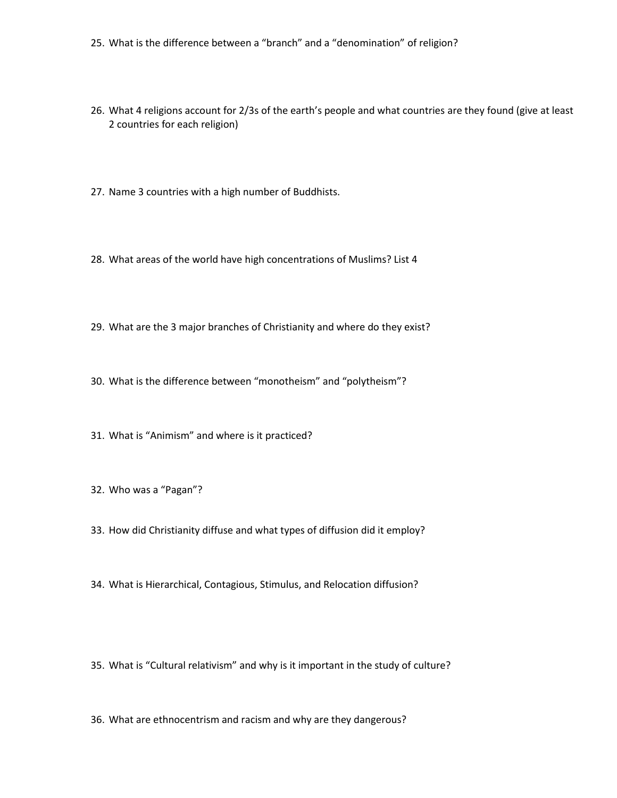- 25. What is the difference between a "branch" and a "denomination" of religion?
- 26. What 4 religions account for 2/3s of the earth's people and what countries are they found (give at least 2 countries for each religion)
- 27. Name 3 countries with a high number of Buddhists.
- 28. What areas of the world have high concentrations of Muslims? List 4
- 29. What are the 3 major branches of Christianity and where do they exist?
- 30. What is the difference between "monotheism" and "polytheism"?
- 31. What is "Animism" and where is it practiced?
- 32. Who was a "Pagan"?
- 33. How did Christianity diffuse and what types of diffusion did it employ?
- 34. What is Hierarchical, Contagious, Stimulus, and Relocation diffusion?
- 35. What is "Cultural relativism" and why is it important in the study of culture?
- 36. What are ethnocentrism and racism and why are they dangerous?